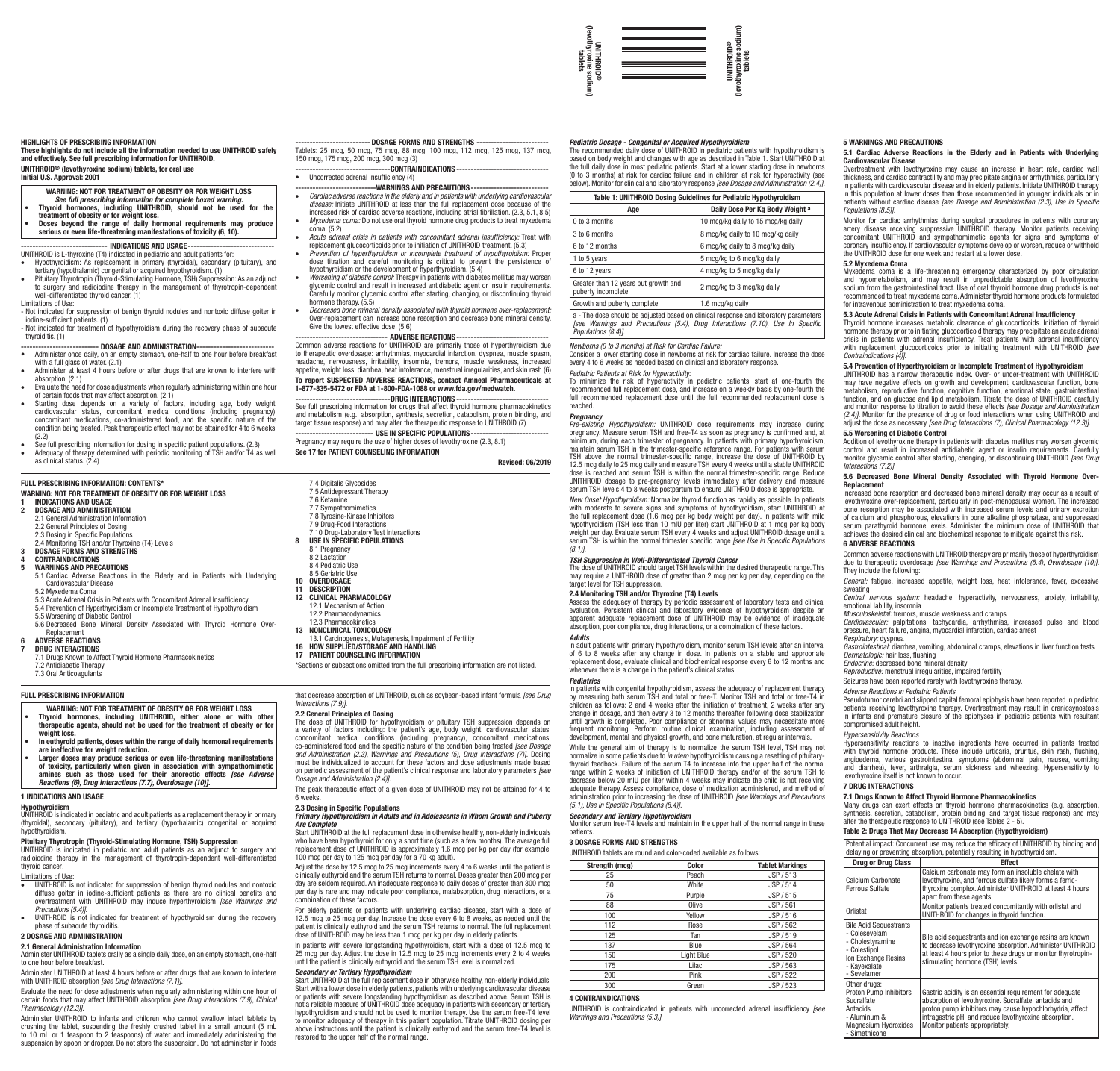

## HIGHLIGHTS OF PRESCRIBING INFORMATION

These highlights do not include all the information needed to use UNITHROID safely and effectively. See full prescribing information for UNITHROID. UNITHROID® (levothyroxine sodium) tablets, for oral use

Initial U.S. Approval: 2001

- WARNING: NOT FOR TREATMENT OF OBESITY OR FOR WEIGHT LOSS
- *See full prescribing information for complete boxed warning.* Thyroid hormones, including UNITHROID, should not be used for the
- 
- treatment of obesity or for weight loss. Doses beyond the range of daily hormonal requirements may produce serious or even life‑threatening manifestations of toxicity (6, 10). ------ INDICATIONS AND USAGE---

## UNITHROID is L-thyroxine (T4) indicated in pediatric and adult patients for:

- Hypothyroidism: As replacement in primary (thyroidal), secondary (pituitary), and<br>tertiary (hypothalamic) congenital or acquired hypothyroidism. (1)<br>- Pituitary Thyrotropin (Thyroid-Stimulating Hormone,TSH) Suppression:
- to surgery and radioiodine therapy in the management of thyrotropin-dependent well-differentiated thyroid cancer. (1) Limitations of Use:
- Not indicated for suppression of benign thyroid nodules and nontoxic diffuse goiter in iodine-sufficient patients. (1) - Not indicated for treatment of hypothyroidism during the recovery phase of subacute

### thyroiditis. (1) -- DOSAGE AND ADMINISTRATION-

- Administer once daily, on an empty stomach, one-half to one hour before breakfast with a full glass of water. (2.1) • Administer at least 4 hours before or after drugs that are known to interfere with
- absorption. (2.1) endomental controlling the current of the state of the state the need for dose adjustments when regularly administering within one hour
- of certain foods that may affect absorption. (2.1) • Starting dose depends on a variety of factors, including age, body weight,
- cardiovascular status, concomitant medical conditions (including pregnancy),<br>concomitant medications, co-administered food, and the specific nature of the<br>condition.being.treated.Peak.therapeutic.effect.may.not.be.attained (2.2)
- See full prescribing information for dosing in specific patient populations. (2.3) • Adequacy of therapy determined with periodic monitoring of TSH and/or T4 as well as clinical status. (2.4)

## FULL PRESCRIBING INFORMATION: CONTENTS\*

### WARNING: NOT FOR TREATMENT OF OBESITY OR FOR WEIGHT LOSS 1 INDICATIONS AND USAGE

## DOSAGE AND ADMINISTRATION

2.1 General Administration Information 2.2 General Principles of Dosing 2.3 Dosing in Specific Populations 2.4 Monitoring TSH and/or Thyroxine (T4) Levels **3** DOSAGE FORMS AND STRENGTHS

### CONTRAINDICATIONS

- 5 WARNINGS AND PRECAUTIONS
- 5.1 Cardiac Adverse Reactions in the Elderly and in Patients with Underlying Cardiovascular Disease
- 5.2 Myxedema Coma 5.3 Acute Adrenal Crisis in Patients with Concomitant Adrenal Insufficiency
- 5.4 Prevention of Hyperthyroidism or Incomplete Treatment of Hypothyroidism 5.5 Worsening of Diabetic Control
- 

5.6 Decreased Bone Mineral Density Associated with Thyroid Hormone Over-

# Replacement<br>6 ADVERSE REACTIONS

DRUG INTERACTIONS 7.1 Drugs Known to Affect Thyroid Hormone Pharmacokinetics 7.2 Antidiabetic Therapy

# FULL PRESCRIBING INFORMATION 7.3 Oral Anticoagulants

- WARNING: NOT FOR TREATMENT OF OBESITY OR FOR WEIGHT LOSS • Thyroid hormones, including UNITHROID, either alone or with other therapeutic agents, should not be used for the treatment of obesity or for
- weight loss. weight loss.<br>In euthvroid patients, doses within the range of daily hormonal requirement
- are ineffective for weight reduction. Larger doses may produce serious or even life‑threatening manifestations
- of toxicity, particularly when given in association with sympathomimetic<br>amines such as those used for their anorectic effects *[see Adverse*<br>*Reactions (6), Drug Interactions (7.7), Overdosage (10)].*

## 1 INDICATIONS AND USAGE

**Hypothyroidism**<br>UNITHROID is indicated in pediatric and adult patients as a replacement therapy in primary (thyroidal), secondary (pituitary), and tertiary (hypothalamic) congenital or acquired

# hypothyroidism. Pituitary Thyrotropin (Thyroid-Stimulating Hormone, TSH) Suppression

UNITHROID is indicated in pediatric and adult patients as an adjunct to surgery and radioiodine therapy in the management of thyrotropin-dependent well-differentiated thyroid cancer*.*

- Limitations of Use: • UNITHROID is not indicated for suppression of benign thyroid nodules and nontoxic diffuse goiter in iodine-sufficient patients as there are no clinical benefits and overtreatment with UNITHROID may induce hyperthyroidism *[see Warnings and Precautions (5.4)]*.
- Frecaddons (0.4).<br>UNITHROID is not indicated for treatment of hypothyroidism during the recovery phase of subacute thyroiditis.

# 2 DOSAGE AND ADMINISTRATION

## 2.1 General Administration Information

Administer UNITHROID tablets orally as a single daily dose, on an empty stomach, one-half to one hour before breakfast.

Administer UNITHROID at least 4 hours before or after drugs that are known to interfere with UNITHROID absorption *[see Drug Interactions (7.1)]*.

Evaluate the need for dose adjustments when regularly administering within one hour of certain foods that may affect UNITHROID absorption *[see Drug Interactions (7.9), Clinical Pharmacology (12.3)].*

Administer UNITHROID to infants and children who cannot swallow intact tablets by crushing the tablet, suspending the freshly crushed tablet in a small amount (5 mL<br>to 10 mL or 1 teaspoon to 2 teaspoons) of water and immediately administering the<br>suspension by spoon or dropper. Do not store the suspensi

-- DOSAGE FORMS AND STRENGTHS --Tablets: 25 mcg, 50 mcg, 75 mcg, 88 mcg, 100 mcg, 112 mcg, 125 mcg, 137 mcg, 150 mcg, 175 mcg, 200 mcg, 300 mcg (3)

-----------------------------------CONTRAINDICATIONS -<br>• Uncorrected adrenal insufficiency (4)

- 
- ----------------------------WARNINGS AND PRECAUTIONS----------------------------• *Cardiac adverse reactions in the elderly and in patients with underlying cardiovascular disease:* Initiate UNITHROID at less than the full replacement dose because of the increased risk of cardiac adverse reactions, including atrial fibrillation. (2.3, 5.1, 8.5) *Myxedema coma:* Do not use oral thyroid hormone drug products to treat myxedema coma: Do not use oral thyroid hormone drug products to treat myxe
- coma. (5.2) • *Acute adrenal crisis in patients with concomitant adrenal insufficiency:* Treat with
- replacement glucocorticoids prior to initiation of UNITHROID treatment. (5.3) • *Prevention of hyperthyroidism or incomplete treatment of hypothyroidism:* Proper dose titration and careful monitoring is critical to prevent the persistence of
- hypothyroidism or the development of hyperthyroidism. (5.4)<br>• Worsening of diabetic control: Therapy in patients with diabetes mellitus may worsen<br>glycemic control and result in increased antidiabetic agent or insulin requ
- Carefully monitor glycemic control after starting, changing, or discontinuing thyroid hormone therapy. (5.5) • *Decreased bone mineral density associated with thyroid hormone over-replacement:*
- Over-replacement can increase bone resorption and decrease bone mineral density. Give the lowest effective dose. (5.6) -------------------------------- ADVERSE REACTIONS---------------------------------

Common adverse reactions for UNITHROID are primarily those of hyperthyroidism due to therapeutic overdosage: arrhythmias, myocardial infarction, dyspnea, muscle spasm, headache, nervousness, irritability, insomnia, tremors, muscle weakness, increased appetite, weight loss, diarrhea, heat intolerance, menstrual irregularities, and skin rash (6) To report SUSPECTED ADVERSE REACTIONS, contact Amneal Pharmaceuticals at 1-877-835-5472 or FDA at 1-800-FDA-1088 or www.fda.gov/medwatch.

----------------------------------DRUG INTERACTIONS ------------------------------<br>See full prescribing information for drugs that affect thyroid hormone pharmacokinetics and metabolism (e.g., absorption, synthesis, secretion, catabolism, protein binding, and target tissue response) and may alter the therapeutic response to UNITHROID (7) --------------------------- USE IN SPECIFIC POPULATIONS----------------------------

Pregnancy may require the use of higher doses of levothyroxine (2.3, 8.1) See 17 for PATIENT COUNSELING INFORMATION

### Revised: 06/2019

|    | 7.4 Digitalis Glycosides<br>7.5 Antidepressant Therapy<br>7.6 Ketamine<br>7.7 Sympathomimetics<br>7.8 Tyrosine-Kinase Inhibitors<br>7.9 Drug-Food Interactions<br>7.10 Drug-Laboratory Test Interactions |
|----|----------------------------------------------------------------------------------------------------------------------------------------------------------------------------------------------------------|
| 8  | <b>USE IN SPECIFIC POPULATIONS</b>                                                                                                                                                                       |
|    |                                                                                                                                                                                                          |
|    | 8.1 Pregnancy                                                                                                                                                                                            |
|    | 8.2 Lactation                                                                                                                                                                                            |
|    | 8.4 Pediatric Use                                                                                                                                                                                        |
|    | 8.5 Geriatric Use                                                                                                                                                                                        |
|    | 10 OVERDOSAGE                                                                                                                                                                                            |
|    | <b>11 DESCRIPTION</b>                                                                                                                                                                                    |
|    | <b>12 CLINICAL PHARMACOLOGY</b>                                                                                                                                                                          |
|    | 12.1 Mechanism of Action                                                                                                                                                                                 |
|    | 12.2 Pharmacodynamics                                                                                                                                                                                    |
|    | 12.3 Pharmacokinetics                                                                                                                                                                                    |
| 13 | NONCLINICAL TOXICOLOGY                                                                                                                                                                                   |
|    | 13.1 Carcinogenesis, Mutagenesis, Impairment of Fertility                                                                                                                                                |
| 16 | <b>HOW SUPPLIED/STORAGE AND HANDLING</b>                                                                                                                                                                 |
| 17 | PATIENT COUNSELING INFORMATION                                                                                                                                                                           |
|    |                                                                                                                                                                                                          |

\*Sections or subsections omitted from the full prescribing information are not listed.

that decrease absorption of UNITHROID, such as soybean-based infant formula *[see Drug Interactions (7.9)]*.

## 2.2 General Principles of Dosing

The dose of UNITHROID for hypothyroidism or pituitary TSH suppression depends on a variety of factors including: the patient's age, body weight, cardiovascular status, concomitant medical conditions (including pregnancy), concomitant medications, co-administered food and the specific nature of the condition being treated *[see Dosage and Administration (2.3), Warnings and Precautions (5), Drug Interactions (7)].* Dosing<br>must be individualized to account for these factors and dose adjustments made based<br>on periodic assessment of the patient's clinical *Dosage and Administration (2.4)]*.

The peak therapeutic effect of a given dose of UNITHROID may not be attained for 4 to 6 weeks.

## 2.3 Dosing in Specific Populations

# *Primary Hypothyroidism in Adults and in Adolescents in Whom Growth and Puberty***<br>Primary Hypothyroidism in Adults and in Adolescents in Whom Growth and Puberty** *Are Complete* Start UNITHROID at the full replacement dose in otherwise healthy, non-elderly individuals

who have been hypothyroid for only a short time (such as a few months). The average full replacement dose of UNITHROID is approximately 1.6 mcg per kg per day (for example: 100 mcg per day to 125 mcg per day for a 70 kg adult).

Adjust the dose by 12.5 mcg to 25 mcg increments every 4 to 6 weeks until the patient is clinically euthyroid and the serum TSH returns to normal. Doses greater than 200 mcg per day are seldom required. An inadequate response to daily doses of greater than 300 mcg per discussion indicate poor compliance, malabsorption, drug interactions, and may indicate poor compliance, malabsorption, drug interactions, combination of these factors.

For elderly patients or patients with underlying cardiac disease, start with a dose of 12.5 mcg to 25 mcg per day. Increase the dose every 6 to 8 weeks, as needed until the patient is clinically euthyroid and the serum TSH returns to normal. The full replacement dose of UNITHROID may be less than 1 mcg per kg per day in elderly patients.

In patients with severe longstanding hypothyroidism, start with a dose of 12.5 mcg to 25 mcg per day. Adjust the dose in 12.5 mcg to 25 mcg increments every 2 to 4 weeks until the patient is clinically euthyroid and the serum TSH level is normalized.

## *Secondary or Tertiary Hypothyroidism*

Start UNITHROID at the full replacement dose in otherwise healthy, non-elderly individuals. Start with a lower dose in elderly patients, patients with underlying cardiovascular disease or patients with severe longstanding hypothyroidism as described above. Serum TSH is not a reliable measure of UNITHROID dose adequacy in patients with secondary or tertiary hypothyroidism and should not be used to monitor therapy. Use the serum free-T4 level to monitor adequacy of therapy in this patient population. Titrate UNITHROID dosing per above instructions until the patient is clinically euthyroid and the serum free-T4 level is restored to the upper half of the normal range.

## *Pediatric Dosage - Congenital or Acquired Hypothyroidism*

The recommended daily dose of UNITHROID in pediatric patients with hypothyroidism is based on body weight and changes with age as described in Table 1. Start UNITHROID at<br>the full daily dose in most pediatric patients. Start at a lower starting dose in newborns<br>(0 to 3 months) at risk for cardiac failure a below). Monitor for clinical and laboratory response *[see Dosage and Administration (2.4)]*.

5 WARNINGS AND PRECAUTIONS

Cardiovascular Disease

*Populations (8.5)]*.

5.2 Myxedema Coma

5.1 Cardiac Adverse Reactions in the Elderly and in Patients with Underlying

Overtreatment with levothyroxine may cause an increase in heart rate, cardiac wall thickness, and cardiac contractility and may precipitate angina or arrhythmias, particularly in patients with cardiovascular disease and in elderly patients. Initiate UNITHROID therapy in this population at lower doses than those recommended in younger individuals or in patients without cardiac disease *[see Dosage and Administration (2.3), Use in Specific* 

Monitor for cardiac arrhythmias during surgical procedures in patients with coronary<br>artery disease receiving suppressive UNITHROID therapy. Monitor patients receiving<br>concomy insufficiency. If cardiovascular symptoms deve

Myxedema coma is a life-threatening emergency characterized by poor circulation and hypometabolism, and may result in unpredictable absorption of levothyroxine<br>sodium from the gastrointestinal tract. Use of oral thyroid hormone drug products is not<br>recommended to treat myxedema.coma. Administer thyroi

Addition of levothyroxine therapy in patients with diabetes mellitus may worsen glycemic<br>control and result in increased antidiabetic agent or insulin requirements. Carefully<br>monitor glycemic control after starti

5.6 Decreased Bone Mineral Density Associated with Thyroid Hormone Over-<br>Penlacement **Replacement**<br>Increased bone resorption and decreased bone mineral density may occur as a result of levothyroxine over-replacement, particularly in post-menopausal women. The increased bone resorption may be associated with increased serum levels and urinary excretion<br>of calcium and phosphorous, elevations in bone alkaline phosphatase, and suppressed<br>serum parathyroid hormone levels. Administer the minim achieves the desired clinical and biochemical response to mitigate against this risk.

Common adverse reactions with UNITHROID therapy are primarily those of hyperthyroidism due to therapeutic overdosage *[see Warnings and Precautions (5.4), Overdosage (10)]*.

*General:* fatigue, increased appetite, weight loss, heat intolerance, fever, excessive

*Central nervous system:* headache, hyperactivity, nervousness, anxiety, irritability,

*Cardiovascular:* palpitations, tachycardia, arrhythmias, increased pulse and blood

*Respiratory:* dyspnea *Gastrointestinal:* diarrhea, vomiting, abdominal cramps, elevations in liver function tests

Pseudotumor cerebri and slipped capital femoral epiphysis have been reported in pediatric patients receiving levothyroxine therapy. Overtreatment may result in craniosynostosis in infants and premature closure of the epiphyses in pediatric patients with resultant

Hypersensitivity reactions to inactive ingredients have occurred in patients treated with thyroid hormone products. These include urticaria, pruritus, skin rash, flushing,<br>angioedema, various gastrointestinal symptoms (abdominal pain, nausea, vomiting<br>and diarrhea), fever, arthralgia, serum sickness and wh

Many drugs can exert effects on thyroid hormone pharmacokinetics (e.g. absorption,<br>synthesis, secretion, catabolism, protein binding, and target tissue response) and may<br>alter the therapeutic response to UNITHROID (see Tab

Calcium carbonate may form an insoluble chelate with levothyroxine, and ferrous sulfate likely forms a ferric-thyroxine complex. Administer UNITHROID at least 4 hours

Bile acid sequestrants and ion exchange resins are known to decrease levothyroxine absorption. Administer UNITHROID at least 4 hours prior to these drugs or monitor thyrotropin-

Gastric acidity is an essential requirement for adequate absorption of levothyroxine. Sucralfate, antacids and poorpuon or ievoarji oxine. ouorunue, unueido unu<br>iroton numn inhibitors may cause hynochlorhydria, affect intragastric pH, and reduce levothyroxine absorption. Monitor patients appropriately.

emotional lability, insomnia *Musculoskeletal:* tremors, muscle weakness and cramps

*Dermatologic:* hair loss, flushing *Endocrine:* decreased bone mineral density *Reproductive:* menstrual irregularities, impaired fertility Seizures have been reported rarely with levothyroxine therapy.

*Adverse Reactions in Pediatric Patients*

levothyroxine itself is not known to occur. 7 DRUG INTERACTIONS

compromised adult height. *Hypersensitivity Reactions*

Drug or Drug Class Calcium Carbonate Ferrous Sulfate

Bile Acid Sequestrants - Colesevelam - Cholestyramine **Colestipol Ion Exchange Resins** - Kayexalate **Sevelamer** 

Other drugs andr arago.<br>roton Pump Inhibitors ucralfate Antacids - Aluminum & Magnesium Hydroxides - Simethicone

pressure, heart failure, angina, myocardial infarction, cardiac arrest

7.1 Drugs Known to Affect Thyroid Hormone Pharmacokinetics

Table 2: Drugs That May Decrease T4 Absorption (Hypothyroidism) Potential impact: Concurrent use may reduce the efficacy of UNITHROID by binding and or or preventing absorption, potentially resulting in hypothyroidism.<br> **Drug or Drug Class** 

apart from these agents. Orlistat Monitor patients treated concomitantly with orlistat and UNITHROID for changes in thyroid function.

stimulating hormone (TSH) levels.

5.3 Acute Adrenal Crisis in Patients with Concomitant Adrenal Insufficiency Thyroid hormone increases metabolic clearance of glucocorticoids. Initiation of thyroid hormone therapy prior to initiating glucocorticoid therapy may precipitate an acute adrenal crisis in patients with adrenal insufficiency. Treat patients with adrenal insufficiency with replacement glucocorticoids prior to initiating treatment with UNITHROID *[see* **Contraindications (4)].**<br> **Contraindications (4)].**<br> **5.4 Prevention of Hynorthyroidism or Incomplete Treatment of Hynothyroidism 5.4 Prevention of Hyperthyroidism or Incomplete Treatment of Hypothyroidism<br>UNITHROID has a narrow therapeutic index. Over- or under-treatment with UNITHROID<br>may have negative effects on growth and development, cardiovasc** function, and on glucose and lipid metabolism. Titrate the dose of UNITHROID carefully<br>and monitor response to titration to avoid these effects *[see Dosage and Administration*<br>*(2.4)].* Monitor for the presence of drug or adjust the dose as necessary *[see Drug Interactions (7), Clinical Pharmacology (12.3)]*.

for intravenous administration to treat myxedema coma.

5.5 Worsening of Diabetic Control

*Interactions (7.2)]*.

6 ADVERSE REACTIONS

They include the following:

sweating

| Table 1: UNITHROID Dosing Guidelines for Pediatric Hypothyroidism |                                    |  |  |
|-------------------------------------------------------------------|------------------------------------|--|--|
| Age                                                               | Daily Dose Per Kg Body Weight a    |  |  |
| $0$ to $3$ months                                                 | 10 mcg/kg daily to 15 mcg/kg daily |  |  |
| 3 to 6 months                                                     | 8 mcg/kg daily to 10 mcg/kg daily  |  |  |
| 6 to 12 months                                                    | 6 mcg/kg daily to 8 mcg/kg daily   |  |  |
| 1 to 5 years                                                      | 5 mcg/kg to 6 mcg/kg daily         |  |  |
| 6 to 12 years                                                     | 4 mcg/kg to 5 mcg/kg daily         |  |  |
| Greater than 12 years but growth and<br>puberty incomplete        | 2 mcg/kg to 3 mcg/kg daily         |  |  |
| Growth and puberty complete                                       | 1.6 mca/ka daily                   |  |  |

a - The dose should be adjusted based on clinical response and laboratory parameters *[see Warnings and Precautions (5.4), Drug Interactions (7.10), Use In Specific Populations (8.4)]*.

*Newborns (0 to 3 months) at Risk for Cardiac Failure:* Consider a lower starting dose in newborns at risk for cardiac failure. Increase the dose every 4 to 6 weeks as needed based on clinical and laboratory response.

*Pediatric Patients at Risk for Hyperactivity:* To minimize the risk of hyperactivity in pediatric patients, start at one-fourth the<br>recommended full replacement dose, and increase on a weekly basis by one-fourth the<br>full recommended replacement dose until the full reco

## reached.

*Pregnancy<br>Pre-existing Hypothyroidism:* UNITHROID dose requirements may increase during<br>pregnancy. Measure serum TSH and free-T4 as soon as pregnancy is confirmed and, at minimum, during each trimester of pregnancy. In patients with primary hypothyroidism, maintain serum TSH in the trimester-specific reference range. For patients with serum<br>TSH above the normal trimester-specific range, increase the dose of UNITHROID by<br>12.5 mcg daily to 25 mcg daily and measure TSH every 4 dose is reached and serum TSH is within the normal trimester-specific range. Reduce UNITHROID dosage to pre-pregnancy levels immediately after delivery and measure serum TSH levels 4 to 8 weeks postpartum to ensure UNITHROID dose is appropriate.

*New Onset Hypothyroidism:* Normalize thyroid function as rapidly as possible. In patient with moderate to severe signs and symptoms of hypothyroidism, start UNITHROID at the full replacement dose (1.6 mcg per kg body weight per day). In patients with mild<br>hypothyroidism (TSH less than 10 mIU per liter) start UNITHROID at 1 mcg per kg body<br>weight per day. Evaluate serum TSH every 4 weeks an serum TSH is within the normal trimester specific range *[see Use in Specific Populations (8.1)]*.

**TSH Suppression in Well-Differentiated Thyroid Cancer**<br>The dose of UNITHROID should target TSH levels within the desired therapeutic range. This<br>may require a UNITHROID dose of greater than 2 mcg per kg per day, depending target level for TSH suppression.<br>2 4 Monitoring TSH and/or Thyroxine (T4) Levels

**2.4 Monitoring TSH and/or Thyroxine (T4) Levels**<br>Assess the adequacy of therapy by periodic assessment of laboratory tests and clinical<br>evaluation. Persistent clinical and laboratory evidence of hypothyroidism despite an<br> absorption, poor compliance, drug interactions, or a combination of these factors.

*Adults*<br>In adult patients with primary hypothyroidism, monitor serum TSH levels after an interval<br>of 6 to 8 weeks after any change in dose. In patients on a stable and appropriate replacement dose, evaluate clinical and biochemical response every 6 to 12 months and whenever there is a change in the patient's clinical status.

*Pediatrics*<br>In patients with congenital hypothyroidism, assess the adequacy of replacement therapy<br>by measuring both serum TSH and total or free-T. Monitor TSH and total or free-T4 in children as follows: 2 and 4 weeks after the initiation of treatment, 2 weeks after any change in dosage, and then every 3 to 12 months thereafter following dose stabilization until growth is completed. Poor compliance or abnormal values may necessitate more frequent monitoring. Perform routine clinical examination, including assessment of development, mental and physical growth, and bone maturation, at regular intervals.

While the general aim of therapy is to normalize the serum TSH level, TSH may not normalize in some patients due to *in utero* hypothyroidism causing a resetting of pituitary-thyroid feedback. Failure of the serum T4 to increase into the upper half of the normal range within 2 weeks of initiation of UNITHROID therapy and/or of the serum TSH to decrease below 20 mIU per liter within 4 weeks may indicate the child is not receiving adequate therapy. Assess compliance, dose of medication administered, and method of administration prior to increasing the dose of UNITHROID *[see Warnings and Precautions (5.1), Use in Specific Populations (8.4)]*.

*Secondary and Tertiary Hypothyroidism* Monitor serum free-T4 levels and maintain in the upper half of the normal range in these

## patients.

4 CONTRAINDICATIONS

3 DOSAGE FORMS AND STRENGTHS UNITHROID tablets are round and color-coded available as follows:

## Strength (mcg) Quor Color Tablet Markings 25 **Peach JSP** / 513 50 White JSP / 514 75 Purple JSP / 515<br>
88 Olive JSP / 561 88 Olive JSP / 561 100 Yellow JSP / 516 112 **Rose JSP** / 562 125 Tan JSP / 519 137 Blue JSP / 564 150 Light Blue JSP / 520 175 Lilac JSP / 563 200 **Pink JSP** / 522 300 **Green JSP** / 523

UNITHROID is contraindicated in patients with uncorrected adrenal insufficiency *[see Warnings and Precautions (5.3)]*.